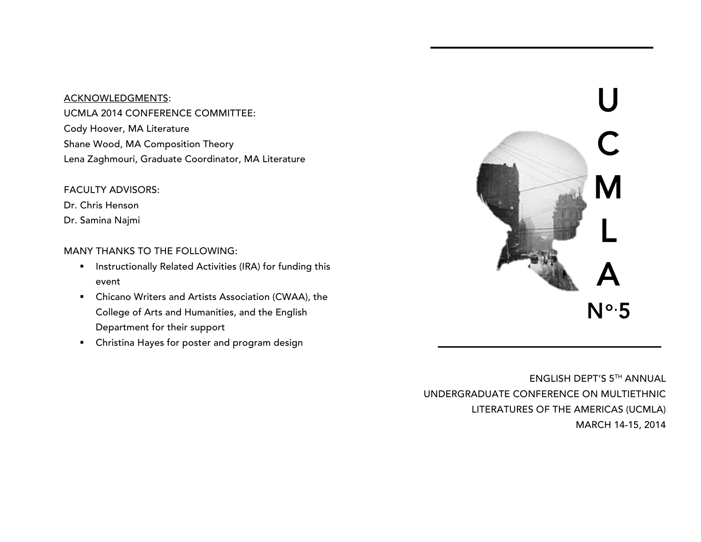#### ACKNOWLEDGMENTS:

UCMLA 2014 CONFERENCE COMMITTEE: Cody Hoover, MA Literature Shane Wood, MA Composition Theory Lena Zaghmouri, Graduate Coordinator, MA Literature

### FACULTY ADVISORS:

Dr. Chris Henson

Dr. Samina Najmi

# MANY THANKS TO THE FOLLOWING:

- **■** Instructionally Related Activities (IRA) for funding this event
- Chicano Writers and Artists Association (CWAA), the College of Arts and Humanities, and the English Department for their support
- Christina Hayes for poster and program design



ENGLISH DEPT'S 5TH ANNUAL UNDERGRADUATE CONFERENCE ON MULTIETHNIC LITERATURES OF THE AMERICAS (UCMLA) MARCH 14-15, 2014